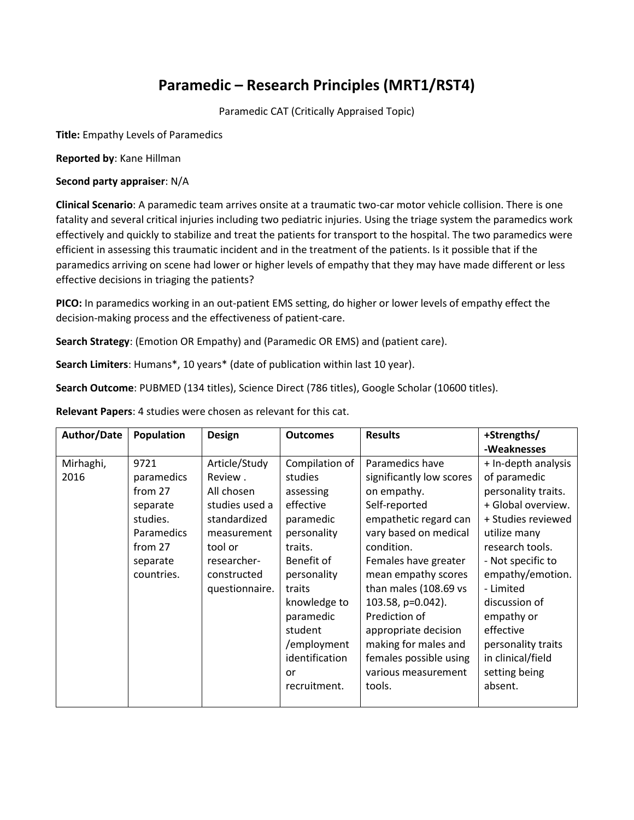## **Paramedic – Research Principles (MRT1/RST4)**

Paramedic CAT (Critically Appraised Topic)

**Title:** Empathy Levels of Paramedics

**Reported by**: Kane Hillman

## **Second party appraiser**: N/A

**Clinical Scenario**: A paramedic team arrives onsite at a traumatic two-car motor vehicle collision. There is one fatality and several critical injuries including two pediatric injuries. Using the triage system the paramedics work effectively and quickly to stabilize and treat the patients for transport to the hospital. The two paramedics were efficient in assessing this traumatic incident and in the treatment of the patients. Is it possible that if the paramedics arriving on scene had lower or higher levels of empathy that they may have made different or less effective decisions in triaging the patients?

**PICO:** In paramedics working in an out-patient EMS setting, do higher or lower levels of empathy effect the decision-making process and the effectiveness of patient-care.

**Search Strategy**: (Emotion OR Empathy) and (Paramedic OR EMS) and (patient care).

**Search Limiters**: Humans\*, 10 years\* (date of publication within last 10 year).

**Search Outcome**: PUBMED (134 titles), Science Direct (786 titles), Google Scholar (10600 titles).

**Relevant Papers**: 4 studies were chosen as relevant for this cat.

| <b>Author/Date</b> | Population | <b>Design</b>  | <b>Outcomes</b> | <b>Results</b>           | +Strengths/         |
|--------------------|------------|----------------|-----------------|--------------------------|---------------------|
|                    |            |                |                 |                          | -Weaknesses         |
| Mirhaghi,          | 9721       | Article/Study  | Compilation of  | Paramedics have          | + In-depth analysis |
| 2016               | paramedics | Review.        | studies         | significantly low scores | of paramedic        |
|                    | from 27    | All chosen     | assessing       | on empathy.              | personality traits. |
|                    | separate   | studies used a | effective       | Self-reported            | + Global overview.  |
|                    | studies.   | standardized   | paramedic       | empathetic regard can    | + Studies reviewed  |
|                    | Paramedics | measurement    | personality     | vary based on medical    | utilize many        |
|                    | from 27    | tool or        | traits.         | condition.               | research tools.     |
|                    | separate   | researcher-    | Benefit of      | Females have greater     | - Not specific to   |
|                    | countries. | constructed    | personality     | mean empathy scores      | empathy/emotion.    |
|                    |            | questionnaire. | traits          | than males (108.69 vs    | - Limited           |
|                    |            |                | knowledge to    | 103.58, p=0.042).        | discussion of       |
|                    |            |                | paramedic       | Prediction of            | empathy or          |
|                    |            |                | student         | appropriate decision     | effective           |
|                    |            |                | /employment     | making for males and     | personality traits  |
|                    |            |                | identification  | females possible using   | in clinical/field   |
|                    |            |                | or              | various measurement      | setting being       |
|                    |            |                | recruitment.    | tools.                   | absent.             |
|                    |            |                |                 |                          |                     |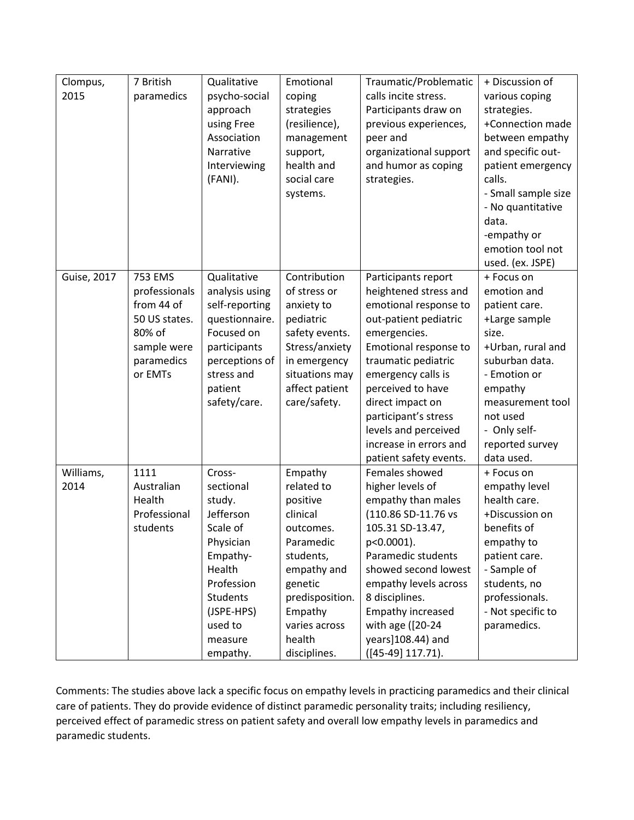| Clompus,           | 7 British     | Qualitative     | Emotional       | Traumatic/Problematic  | + Discussion of     |
|--------------------|---------------|-----------------|-----------------|------------------------|---------------------|
| 2015               | paramedics    | psycho-social   | coping          | calls incite stress.   | various coping      |
|                    |               | approach        | strategies      | Participants draw on   | strategies.         |
|                    |               | using Free      | (resilience),   | previous experiences,  | +Connection made    |
|                    |               | Association     | management      | peer and               | between empathy     |
|                    |               | Narrative       | support,        | organizational support | and specific out-   |
|                    |               | Interviewing    | health and      | and humor as coping    | patient emergency   |
|                    |               | (FANI).         | social care     | strategies.            | calls.              |
|                    |               |                 | systems.        |                        | - Small sample size |
|                    |               |                 |                 |                        | - No quantitative   |
|                    |               |                 |                 |                        | data.               |
|                    |               |                 |                 |                        | -empathy or         |
|                    |               |                 |                 |                        | emotion tool not    |
|                    |               |                 |                 |                        | used. (ex. JSPE)    |
| <b>Guise, 2017</b> | 753 EMS       | Qualitative     | Contribution    | Participants report    | + Focus on          |
|                    | professionals | analysis using  | of stress or    | heightened stress and  | emotion and         |
|                    | from 44 of    | self-reporting  | anxiety to      | emotional response to  | patient care.       |
|                    | 50 US states. | questionnaire.  | pediatric       | out-patient pediatric  | +Large sample       |
|                    | 80% of        | Focused on      | safety events.  | emergencies.           | size.               |
|                    | sample were   | participants    | Stress/anxiety  | Emotional response to  | +Urban, rural and   |
|                    | paramedics    | perceptions of  | in emergency    | traumatic pediatric    | suburban data.      |
|                    | or EMTs       | stress and      | situations may  | emergency calls is     | - Emotion or        |
|                    |               | patient         | affect patient  | perceived to have      | empathy             |
|                    |               | safety/care.    | care/safety.    | direct impact on       | measurement tool    |
|                    |               |                 |                 | participant's stress   | not used            |
|                    |               |                 |                 | levels and perceived   | - Only self-        |
|                    |               |                 |                 | increase in errors and | reported survey     |
|                    |               |                 |                 | patient safety events. | data used.          |
| Williams,          | 1111          | Cross-          | Empathy         | Females showed         | + Focus on          |
| 2014               | Australian    | sectional       | related to      | higher levels of       | empathy level       |
|                    | Health        | study.          | positive        | empathy than males     | health care.        |
|                    | Professional  | Jefferson       | clinical        | (110.86 SD-11.76 vs    | +Discussion on      |
|                    | students      | Scale of        | outcomes.       | 105.31 SD-13.47,       | benefits of         |
|                    |               | Physician       | Paramedic       | p<0.0001).             | empathy to          |
|                    |               | Empathy-        | students,       | Paramedic students     | patient care.       |
|                    |               | Health          | empathy and     | showed second lowest   | - Sample of         |
|                    |               | Profession      | genetic         | empathy levels across  | students, no        |
|                    |               | <b>Students</b> | predisposition. | 8 disciplines.         | professionals.      |
|                    |               | (JSPE-HPS)      | Empathy         | Empathy increased      | - Not specific to   |
|                    |               | used to         | varies across   | with age ([20-24       | paramedics.         |
|                    |               | measure         | health          | years]108.44) and      |                     |
|                    |               | empathy.        | disciplines.    | $([45-49] 117.71).$    |                     |

Comments: The studies above lack a specific focus on empathy levels in practicing paramedics and their clinical care of patients. They do provide evidence of distinct paramedic personality traits; including resiliency, perceived effect of paramedic stress on patient safety and overall low empathy levels in paramedics and paramedic students.